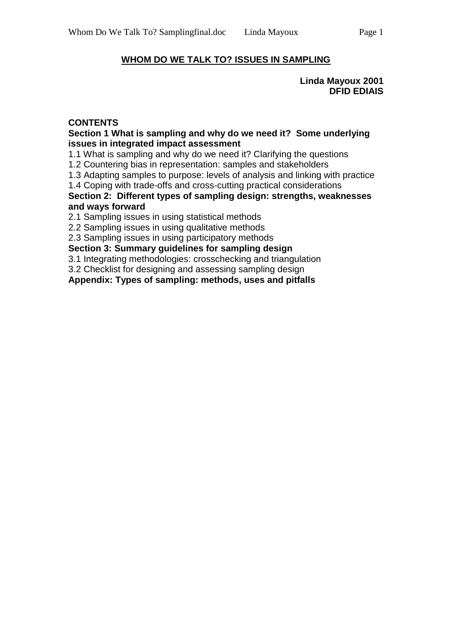# **WHOM DO WE TALK TO? ISSUES IN SAMPLING**

**Linda Mayoux 2001 DFID EDIAIS**

### **CONTENTS**

#### **Section 1 What is sampling and why do we need it? Some underlying issues in integrated impact assessment**

1.1 What is sampling and why do we need it? Clarifying the questions

1.2 Countering bias in representation: samples and stakeholders

1.3 Adapting samples to purpose: levels of analysis and linking with practice

1.4 Coping with trade-offs and cross-cutting practical considerations

**Section 2: Different types of sampling design: strengths, weaknesses and ways forward**

2.1 Sampling issues in using statistical methods

2.2 Sampling issues in using qualitative methods

2.3 Sampling issues in using participatory methods

**Section 3: Summary guidelines for sampling design**

3.1 Integrating methodologies: crosschecking and triangulation

3.2 Checklist for designing and assessing sampling design

**Appendix: Types of sampling: methods, uses and pitfalls**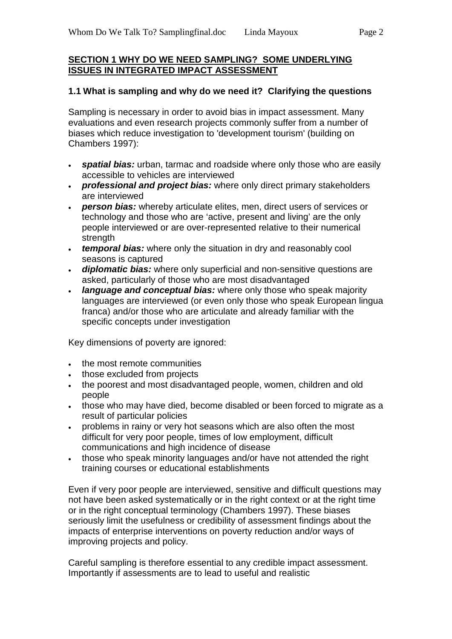### **SECTION 1 WHY DO WE NEED SAMPLING? SOME UNDERLYING ISSUES IN INTEGRATED IMPACT ASSESSMENT**

### **1.1 What is sampling and why do we need it? Clarifying the questions**

Sampling is necessary in order to avoid bias in impact assessment. Many evaluations and even research projects commonly suffer from a number of biases which reduce investigation to 'development tourism' (building on Chambers 1997):

- *spatial bias:* urban, tarmac and roadside where only those who are easily accessible to vehicles are interviewed
- *professional and project bias:* where only direct primary stakeholders are interviewed
- *person bias:* whereby articulate elites, men, direct users of services or technology and those who are 'active, present and living' are the only people interviewed or are over-represented relative to their numerical strength
- *temporal bias:* where only the situation in dry and reasonably cool seasons is captured
- *diplomatic bias:* where only superficial and non-sensitive questions are asked, particularly of those who are most disadvantaged
- *language and conceptual bias:* where only those who speak majority languages are interviewed (or even only those who speak European lingua franca) and/or those who are articulate and already familiar with the specific concepts under investigation

Key dimensions of poverty are ignored:

- the most remote communities
- those excluded from projects
- the poorest and most disadvantaged people, women, children and old people
- those who may have died, become disabled or been forced to migrate as a result of particular policies
- problems in rainy or very hot seasons which are also often the most difficult for very poor people, times of low employment, difficult communications and high incidence of disease
- those who speak minority languages and/or have not attended the right training courses or educational establishments

Even if very poor people are interviewed, sensitive and difficult questions may not have been asked systematically or in the right context or at the right time or in the right conceptual terminology (Chambers 1997). These biases seriously limit the usefulness or credibility of assessment findings about the impacts of enterprise interventions on poverty reduction and/or ways of improving projects and policy.

Careful sampling is therefore essential to any credible impact assessment. Importantly if assessments are to lead to useful and realistic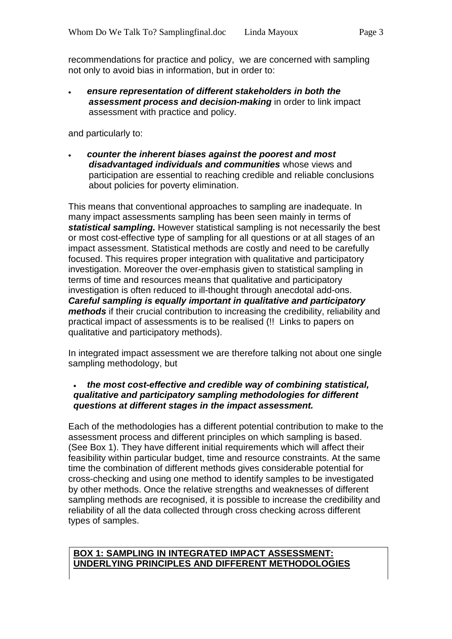recommendations for practice and policy, we are concerned with sampling not only to avoid bias in information, but in order to:

• *ensure representation of different stakeholders in both the assessment process and decision-making* in order to link impact assessment with practice and policy.

and particularly to:

• *counter the inherent biases against the poorest and most disadvantaged individuals and communities* whose views and participation are essential to reaching credible and reliable conclusions about policies for poverty elimination.

This means that conventional approaches to sampling are inadequate. In many impact assessments sampling has been seen mainly in terms of *statistical sampling.* However statistical sampling is not necessarily the best or most cost-effective type of sampling for all questions or at all stages of an impact assessment. Statistical methods are costly and need to be carefully focused. This requires proper integration with qualitative and participatory investigation. Moreover the over-emphasis given to statistical sampling in terms of time and resources means that qualitative and participatory investigation is often reduced to ill-thought through anecdotal add-ons. *Careful sampling is equally important in qualitative and participatory methods* if their crucial contribution to increasing the credibility, reliability and practical impact of assessments is to be realised (!! Links to papers on qualitative and participatory methods).

In integrated impact assessment we are therefore talking not about one single sampling methodology, but

#### • *the most cost-effective and credible way of combining statistical, qualitative and participatory sampling methodologies for different questions at different stages in the impact assessment.*

Each of the methodologies has a different potential contribution to make to the assessment process and different principles on which sampling is based. (See Box 1). They have different initial requirements which will affect their feasibility within particular budget, time and resource constraints. At the same time the combination of different methods gives considerable potential for cross-checking and using one method to identify samples to be investigated by other methods. Once the relative strengths and weaknesses of different sampling methods are recognised, it is possible to increase the credibility and reliability of all the data collected through cross checking across different types of samples.

#### **BOX 1: SAMPLING IN INTEGRATED IMPACT ASSESSMENT: UNDERLYING PRINCIPLES AND DIFFERENT METHODOLOGIES**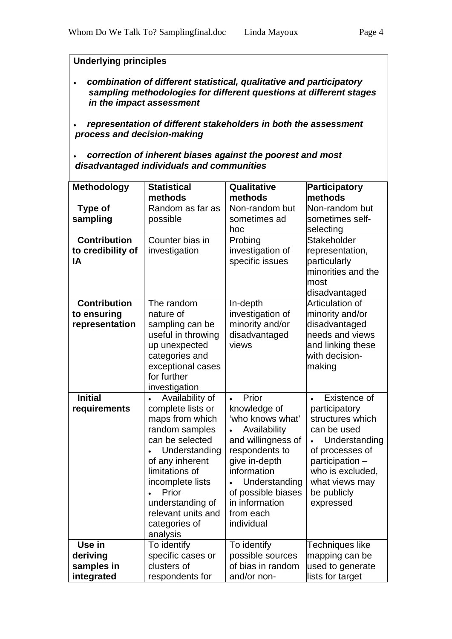### **Underlying principles**

- *combination of different statistical, qualitative and participatory sampling methodologies for different questions at different stages in the impact assessment*
- *representation of different stakeholders in both the assessment process and decision-making*
- *correction of inherent biases against the poorest and most disadvantaged individuals and communities*

| <b>Methodology</b>  | <b>Statistical</b>           | Qualitative        | <b>Participatory</b> |
|---------------------|------------------------------|--------------------|----------------------|
|                     | methods                      | methods            | methods              |
| <b>Type of</b>      | Random as far as             | Non-random but     | Non-random but       |
| sampling            | possible                     | sometimes ad       | sometimes self-      |
|                     |                              | hoc                | selecting            |
| <b>Contribution</b> | Counter bias in              | Probing            | Stakeholder          |
| to credibility of   | investigation                | investigation of   | representation,      |
| ΙA                  |                              | specific issues    | particularly         |
|                     |                              |                    | minorities and the   |
|                     |                              |                    | most                 |
|                     |                              |                    | disadvantaged        |
| <b>Contribution</b> | The random                   | In-depth           | Articulation of      |
| to ensuring         | nature of                    | investigation of   | minority and/or      |
| representation      | sampling can be              | minority and/or    | disadvantaged        |
|                     | useful in throwing           | disadvantaged      | needs and views      |
|                     | up unexpected                | views              | and linking these    |
|                     | categories and               |                    | with decision-       |
|                     | exceptional cases            |                    | making               |
|                     | for further                  |                    |                      |
|                     | investigation                |                    |                      |
| <b>Initial</b>      | Availability of<br>$\bullet$ | Prior              | Existence of         |
| requirements        | complete lists or            | knowledge of       | participatory        |
|                     | maps from which              | 'who knows what'   | structures which     |
|                     | random samples               | Availability       | can be used          |
|                     | can be selected              | and willingness of | Understanding        |
|                     | Understanding                | respondents to     | of processes of      |
|                     | of any inherent              | give in-depth      | participation -      |
|                     | limitations of               | information        | who is excluded,     |
|                     | incomplete lists             | Understanding      | what views may       |
|                     | Prior                        | of possible biases | be publicly          |
|                     | understanding of             | in information     | expressed            |
|                     | relevant units and           | from each          |                      |
|                     | categories of                | individual         |                      |
|                     | analysis                     |                    |                      |
| Use in              | To identify                  | To identify        | Techniques like      |
| deriving            | specific cases or            | possible sources   | mapping can be       |
| samples in          | clusters of                  | of bias in random  | used to generate     |
| integrated          | respondents for              | and/or non-        | lists for target     |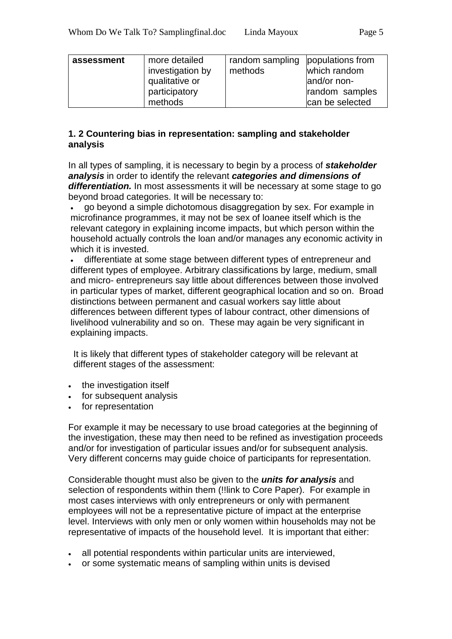| more detailed<br>assessment<br>investigation by<br>qualitative or<br>participatory<br>methods | random sampling populations from<br>methods | which random<br>land/or non-<br>random samples<br>can be selected |
|-----------------------------------------------------------------------------------------------|---------------------------------------------|-------------------------------------------------------------------|
|-----------------------------------------------------------------------------------------------|---------------------------------------------|-------------------------------------------------------------------|

### **1. 2 Countering bias in representation: sampling and stakeholder analysis**

In all types of sampling, it is necessary to begin by a process of *stakeholder analysis* in order to identify the relevant *categories and dimensions of*  differentiation. In most assessments it will be necessary at some stage to go beyond broad categories. It will be necessary to:

• go beyond a simple dichotomous disaggregation by sex. For example in microfinance programmes, it may not be sex of loanee itself which is the relevant category in explaining income impacts, but which person within the household actually controls the loan and/or manages any economic activity in which it is invested.

• differentiate at some stage between different types of entrepreneur and different types of employee. Arbitrary classifications by large, medium, small and micro- entrepreneurs say little about differences between those involved in particular types of market, different geographical location and so on. Broad distinctions between permanent and casual workers say little about differences between different types of labour contract, other dimensions of livelihood vulnerability and so on. These may again be very significant in explaining impacts.

It is likely that different types of stakeholder category will be relevant at different stages of the assessment:

- the investigation itself
- for subsequent analysis
- for representation

For example it may be necessary to use broad categories at the beginning of the investigation, these may then need to be refined as investigation proceeds and/or for investigation of particular issues and/or for subsequent analysis. Very different concerns may guide choice of participants for representation.

Considerable thought must also be given to the *units for analysis* and selection of respondents within them (!!link to Core Paper). For example in most cases interviews with only entrepreneurs or only with permanent employees will not be a representative picture of impact at the enterprise level. Interviews with only men or only women within households may not be representative of impacts of the household level. It is important that either:

- all potential respondents within particular units are interviewed,
- or some systematic means of sampling within units is devised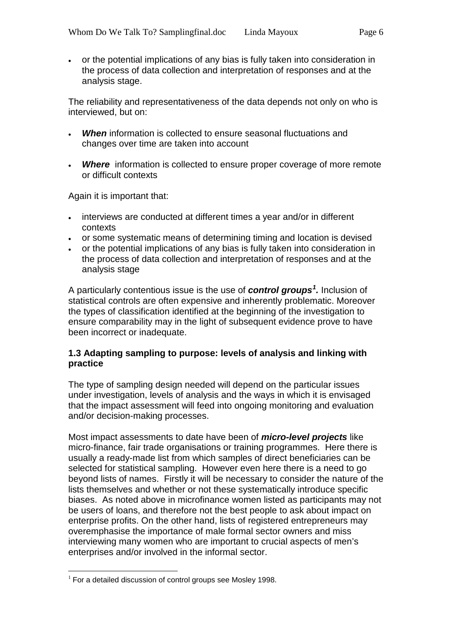• or the potential implications of any bias is fully taken into consideration in the process of data collection and interpretation of responses and at the analysis stage.

The reliability and representativeness of the data depends not only on who is interviewed, but on:

- *When* information is collected to ensure seasonal fluctuations and changes over time are taken into account
- *Where* information is collected to ensure proper coverage of more remote or difficult contexts

Again it is important that:

- interviews are conducted at different times a year and/or in different contexts
- or some systematic means of determining timing and location is devised
- or the potential implications of any bias is fully taken into consideration in the process of data collection and interpretation of responses and at the analysis stage

A particularly contentious issue is the use of *control groups[1](#page-5-0) .* Inclusion of statistical controls are often expensive and inherently problematic. Moreover the types of classification identified at the beginning of the investigation to ensure comparability may in the light of subsequent evidence prove to have been incorrect or inadequate.

### **1.3 Adapting sampling to purpose: levels of analysis and linking with practice**

The type of sampling design needed will depend on the particular issues under investigation, levels of analysis and the ways in which it is envisaged that the impact assessment will feed into ongoing monitoring and evaluation and/or decision-making processes.

Most impact assessments to date have been of *micro-level projects* like micro-finance, fair trade organisations or training programmes. Here there is usually a ready-made list from which samples of direct beneficiaries can be selected for statistical sampling. However even here there is a need to go beyond lists of names. Firstly it will be necessary to consider the nature of the lists themselves and whether or not these systematically introduce specific biases. As noted above in microfinance women listed as participants may not be users of loans, and therefore not the best people to ask about impact on enterprise profits. On the other hand, lists of registered entrepreneurs may overemphasise the importance of male formal sector owners and miss interviewing many women who are important to crucial aspects of men's enterprises and/or involved in the informal sector.

<span id="page-5-0"></span> $1$  For a detailed discussion of control groups see Mosley 1998.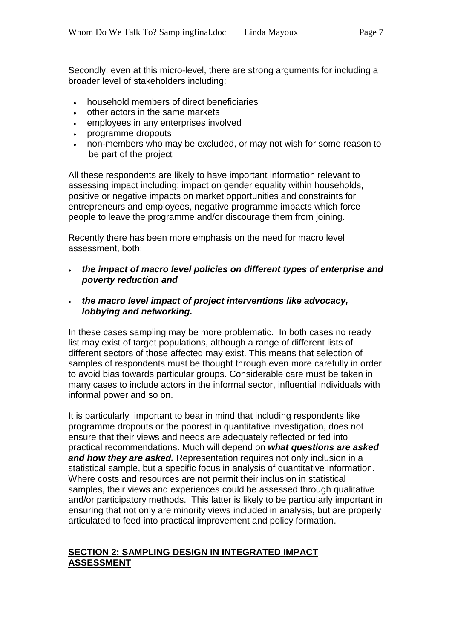Secondly, even at this micro-level, there are strong arguments for including a broader level of stakeholders including:

- household members of direct beneficiaries
- other actors in the same markets
- employees in any enterprises involved
- programme dropouts
- non-members who may be excluded, or may not wish for some reason to be part of the project

All these respondents are likely to have important information relevant to assessing impact including: impact on gender equality within households, positive or negative impacts on market opportunities and constraints for entrepreneurs and employees, negative programme impacts which force people to leave the programme and/or discourage them from joining.

Recently there has been more emphasis on the need for macro level assessment, both:

- *the impact of macro level policies on different types of enterprise and poverty reduction and*
- *the macro level impact of project interventions like advocacy, lobbying and networking.*

In these cases sampling may be more problematic. In both cases no ready list may exist of target populations, although a range of different lists of different sectors of those affected may exist. This means that selection of samples of respondents must be thought through even more carefully in order to avoid bias towards particular groups. Considerable care must be taken in many cases to include actors in the informal sector, influential individuals with informal power and so on.

It is particularly important to bear in mind that including respondents like programme dropouts or the poorest in quantitative investigation, does not ensure that their views and needs are adequately reflected or fed into practical recommendations. Much will depend on *what questions are asked and how they are asked.* Representation requires not only inclusion in a statistical sample, but a specific focus in analysis of quantitative information. Where costs and resources are not permit their inclusion in statistical samples, their views and experiences could be assessed through qualitative and/or participatory methods. This latter is likely to be particularly important in ensuring that not only are minority views included in analysis, but are properly articulated to feed into practical improvement and policy formation.

# **SECTION 2: SAMPLING DESIGN IN INTEGRATED IMPACT ASSESSMENT**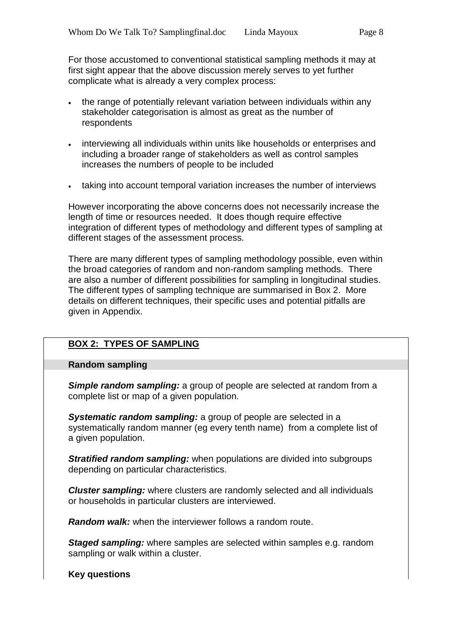For those accustomed to conventional statistical sampling methods it may at first sight appear that the above discussion merely serves to yet further complicate what is already a very complex process:

- the range of potentially relevant variation between individuals within any stakeholder categorisation is almost as great as the number of respondents
- interviewing all individuals within units like households or enterprises and including a broader range of stakeholders as well as control samples increases the numbers of people to be included
- taking into account temporal variation increases the number of interviews

However incorporating the above concerns does not necessarily increase the length of time or resources needed. It does though require effective integration of different types of methodology and different types of sampling at different stages of the assessment process.

There are many different types of sampling methodology possible, even within the broad categories of random and non-random sampling methods. There are also a number of different possibilities for sampling in longitudinal studies. The different types of sampling technique are summarised in Box 2. More details on different techniques, their specific uses and potential pitfalls are given in Appendix.

# **BOX 2: TYPES OF SAMPLING**

#### **Random sampling**

*Simple random sampling:* a group of people are selected at random from a complete list or map of a given population.

*Systematic random sampling:* a group of people are selected in a systematically random manner (eg every tenth name) from a complete list of a given population.

*Stratified random sampling:* when populations are divided into subgroups depending on particular characteristics.

*Cluster sampling:* where clusters are randomly selected and all individuals or households in particular clusters are interviewed.

*Random walk:* when the interviewer follows a random route.

*Staged sampling:* where samples are selected within samples e.g. random sampling or walk within a cluster.

**Key questions**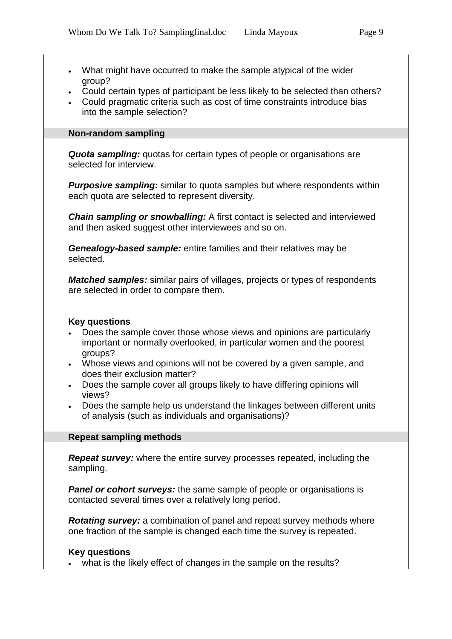- What might have occurred to make the sample atypical of the wider group?
- Could certain types of participant be less likely to be selected than others?
- Could pragmatic criteria such as cost of time constraints introduce bias into the sample selection?

#### **Non-random sampling**

**Quota sampling:** quotas for certain types of people or organisations are selected for interview.

*Purposive sampling:* similar to quota samples but where respondents within each quota are selected to represent diversity.

*Chain sampling or snowballing:* A first contact is selected and interviewed and then asked suggest other interviewees and so on.

*Genealogy-based sample:* entire families and their relatives may be selected.

*Matched samples:* similar pairs of villages, projects or types of respondents are selected in order to compare them.

#### **Key questions**

- Does the sample cover those whose views and opinions are particularly important or normally overlooked, in particular women and the poorest groups?
- Whose views and opinions will not be covered by a given sample, and does their exclusion matter?
- Does the sample cover all groups likely to have differing opinions will views?
- Does the sample help us understand the linkages between different units of analysis (such as individuals and organisations)?

#### **Repeat sampling methods**

*Repeat survey:* where the entire survey processes repeated, including the sampling.

**Panel or cohort surveys:** the same sample of people or organisations is contacted several times over a relatively long period.

*Rotating survey:* a combination of panel and repeat survey methods where one fraction of the sample is changed each time the survey is repeated.

# **Key questions**

• what is the likely effect of changes in the sample on the results?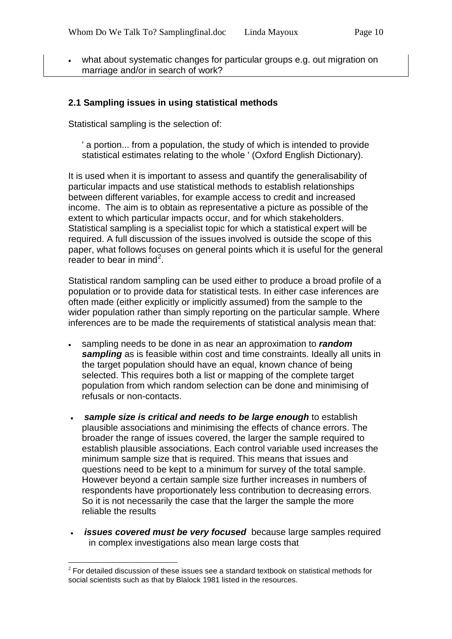what about systematic changes for particular groups e.g. out migration on marriage and/or in search of work?

### **2.1 Sampling issues in using statistical methods**

Statistical sampling is the selection of:

' a portion... from a population, the study of which is intended to provide statistical estimates relating to the whole ' (Oxford English Dictionary).

It is used when it is important to assess and quantify the generalisability of particular impacts and use statistical methods to establish relationships between different variables, for example access to credit and increased income. The aim is to obtain as representative a picture as possible of the extent to which particular impacts occur, and for which stakeholders. Statistical sampling is a specialist topic for which a statistical expert will be required. A full discussion of the issues involved is outside the scope of this paper, what follows focuses on general points which it is useful for the general reader to bear in mind<sup>[2](#page-9-0)</sup>.

Statistical random sampling can be used either to produce a broad profile of a population or to provide data for statistical tests. In either case inferences are often made (either explicitly or implicitly assumed) from the sample to the wider population rather than simply reporting on the particular sample. Where inferences are to be made the requirements of statistical analysis mean that:

- sampling needs to be done in as near an approximation to *random sampling* as is feasible within cost and time constraints. Ideally all units in the target population should have an equal, known chance of being selected. This requires both a list or mapping of the complete target population from which random selection can be done and minimising of refusals or non-contacts.
- *sample size is critical and needs to be large enough* to establish plausible associations and minimising the effects of chance errors. The broader the range of issues covered, the larger the sample required to establish plausible associations. Each control variable used increases the minimum sample size that is required. This means that issues and questions need to be kept to a minimum for survey of the total sample. However beyond a certain sample size further increases in numbers of respondents have proportionately less contribution to decreasing errors. So it is not necessarily the case that the larger the sample the more reliable the results
- *issues covered must be very focused* because large samples required in complex investigations also mean large costs that

<span id="page-9-0"></span> $2$  For detailed discussion of these issues see a standard textbook on statistical methods for social scientists such as that by Blalock 1981 listed in the resources.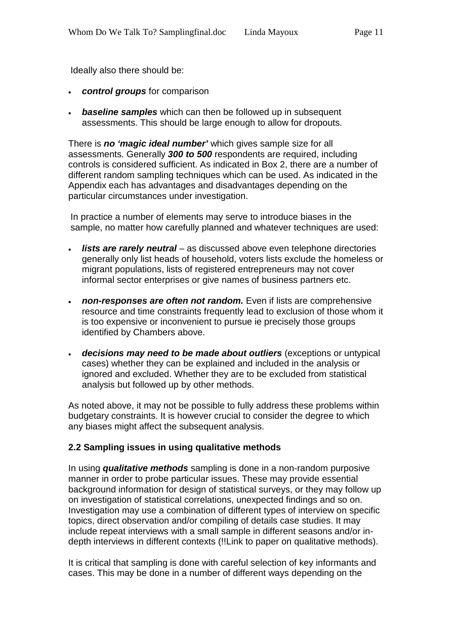Ideally also there should be:

- *control groups* for comparison
- *baseline samples* which can then be followed up in subsequent assessments. This should be large enough to allow for dropouts.

There is *no 'magic ideal number'* which gives sample size for all assessments. Generally *300 to 500* respondents are required, including controls is considered sufficient. As indicated in Box 2, there are a number of different random sampling techniques which can be used. As indicated in the Appendix each has advantages and disadvantages depending on the particular circumstances under investigation.

In practice a number of elements may serve to introduce biases in the sample, no matter how carefully planned and whatever techniques are used:

- *lists are rarely neutral* as discussed above even telephone directories generally only list heads of household, voters lists exclude the homeless or migrant populations, lists of registered entrepreneurs may not cover informal sector enterprises or give names of business partners etc.
- *non-responses are often not random.* Even if lists are comprehensive resource and time constraints frequently lead to exclusion of those whom it is too expensive or inconvenient to pursue ie precisely those groups identified by Chambers above.
- *decisions may need to be made about outliers* (exceptions or untypical cases) whether they can be explained and included in the analysis or ignored and excluded. Whether they are to be excluded from statistical analysis but followed up by other methods.

As noted above, it may not be possible to fully address these problems within budgetary constraints. It is however crucial to consider the degree to which any biases might affect the subsequent analysis.

#### **2.2 Sampling issues in using qualitative methods**

In using *qualitative methods* sampling is done in a non-random purposive manner in order to probe particular issues. These may provide essential background information for design of statistical surveys, or they may follow up on investigation of statistical correlations, unexpected findings and so on. Investigation may use a combination of different types of interview on specific topics, direct observation and/or compiling of details case studies. It may include repeat interviews with a small sample in different seasons and/or indepth interviews in different contexts (!!Link to paper on qualitative methods).

It is critical that sampling is done with careful selection of key informants and cases. This may be done in a number of different ways depending on the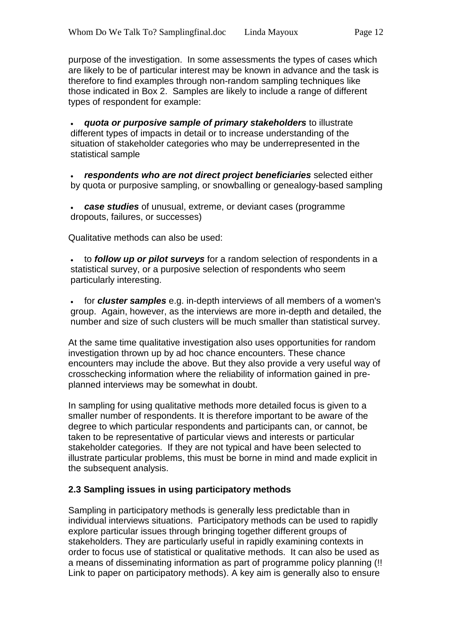purpose of the investigation. In some assessments the types of cases which are likely to be of particular interest may be known in advance and the task is therefore to find examples through non-random sampling techniques like those indicated in Box 2. Samples are likely to include a range of different types of respondent for example:

• *quota or purposive sample of primary stakeholders* to illustrate different types of impacts in detail or to increase understanding of the situation of stakeholder categories who may be underrepresented in the statistical sample

• *respondents who are not direct project beneficiaries* selected either by quota or purposive sampling, or snowballing or genealogy-based sampling

• *case studies* of unusual, extreme, or deviant cases (programme dropouts, failures, or successes)

Qualitative methods can also be used:

• to *follow up or pilot surveys* for a random selection of respondents in a statistical survey, or a purposive selection of respondents who seem particularly interesting.

• for *cluster samples* e.g. in-depth interviews of all members of a women's group. Again, however, as the interviews are more in-depth and detailed, the number and size of such clusters will be much smaller than statistical survey.

At the same time qualitative investigation also uses opportunities for random investigation thrown up by ad hoc chance encounters. These chance encounters may include the above. But they also provide a very useful way of crosschecking information where the reliability of information gained in preplanned interviews may be somewhat in doubt.

In sampling for using qualitative methods more detailed focus is given to a smaller number of respondents. It is therefore important to be aware of the degree to which particular respondents and participants can, or cannot, be taken to be representative of particular views and interests or particular stakeholder categories. If they are not typical and have been selected to illustrate particular problems, this must be borne in mind and made explicit in the subsequent analysis.

# **2.3 Sampling issues in using participatory methods**

Sampling in participatory methods is generally less predictable than in individual interviews situations. Participatory methods can be used to rapidly explore particular issues through bringing together different groups of stakeholders. They are particularly useful in rapidly examining contexts in order to focus use of statistical or qualitative methods. It can also be used as a means of disseminating information as part of programme policy planning (!! Link to paper on participatory methods). A key aim is generally also to ensure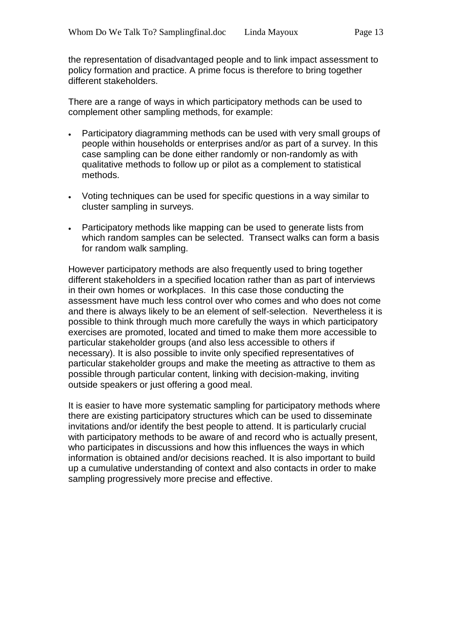the representation of disadvantaged people and to link impact assessment to policy formation and practice. A prime focus is therefore to bring together different stakeholders.

There are a range of ways in which participatory methods can be used to complement other sampling methods, for example:

- Participatory diagramming methods can be used with very small groups of people within households or enterprises and/or as part of a survey. In this case sampling can be done either randomly or non-randomly as with qualitative methods to follow up or pilot as a complement to statistical methods.
- Voting techniques can be used for specific questions in a way similar to cluster sampling in surveys.
- Participatory methods like mapping can be used to generate lists from which random samples can be selected. Transect walks can form a basis for random walk sampling.

However participatory methods are also frequently used to bring together different stakeholders in a specified location rather than as part of interviews in their own homes or workplaces. In this case those conducting the assessment have much less control over who comes and who does not come and there is always likely to be an element of self-selection. Nevertheless it is possible to think through much more carefully the ways in which participatory exercises are promoted, located and timed to make them more accessible to particular stakeholder groups (and also less accessible to others if necessary). It is also possible to invite only specified representatives of particular stakeholder groups and make the meeting as attractive to them as possible through particular content, linking with decision-making, inviting outside speakers or just offering a good meal.

It is easier to have more systematic sampling for participatory methods where there are existing participatory structures which can be used to disseminate invitations and/or identify the best people to attend. It is particularly crucial with participatory methods to be aware of and record who is actually present. who participates in discussions and how this influences the ways in which information is obtained and/or decisions reached. It is also important to build up a cumulative understanding of context and also contacts in order to make sampling progressively more precise and effective.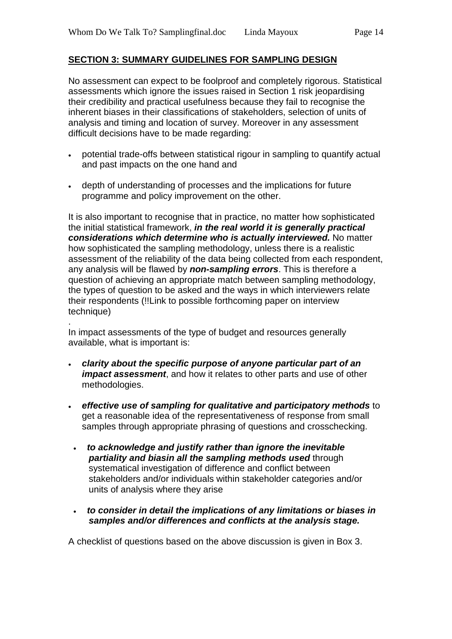# **SECTION 3: SUMMARY GUIDELINES FOR SAMPLING DESIGN**

No assessment can expect to be foolproof and completely rigorous. Statistical assessments which ignore the issues raised in Section 1 risk jeopardising their credibility and practical usefulness because they fail to recognise the inherent biases in their classifications of stakeholders, selection of units of analysis and timing and location of survey. Moreover in any assessment difficult decisions have to be made regarding:

- potential trade-offs between statistical rigour in sampling to quantify actual and past impacts on the one hand and
- depth of understanding of processes and the implications for future programme and policy improvement on the other.

It is also important to recognise that in practice, no matter how sophisticated the initial statistical framework, *in the real world it is generally practical considerations which determine who is actually interviewed.* No matter how sophisticated the sampling methodology, unless there is a realistic assessment of the reliability of the data being collected from each respondent, any analysis will be flawed by *non-sampling errors*. This is therefore a question of achieving an appropriate match between sampling methodology, the types of question to be asked and the ways in which interviewers relate their respondents (!!Link to possible forthcoming paper on interview technique)

. In impact assessments of the type of budget and resources generally available, what is important is:

- *clarity about the specific purpose of anyone particular part of an impact assessment*, and how it relates to other parts and use of other methodologies.
- *effective use of sampling for qualitative and participatory methods* to get a reasonable idea of the representativeness of response from small samples through appropriate phrasing of questions and crosschecking.
	- *to acknowledge and justify rather than ignore the inevitable partiality and biasin all the sampling methods used* through systematical investigation of difference and conflict between stakeholders and/or individuals within stakeholder categories and/or units of analysis where they arise
- *to consider in detail the implications of any limitations or biases in samples and/or differences and conflicts at the analysis stage.*

A checklist of questions based on the above discussion is given in Box 3.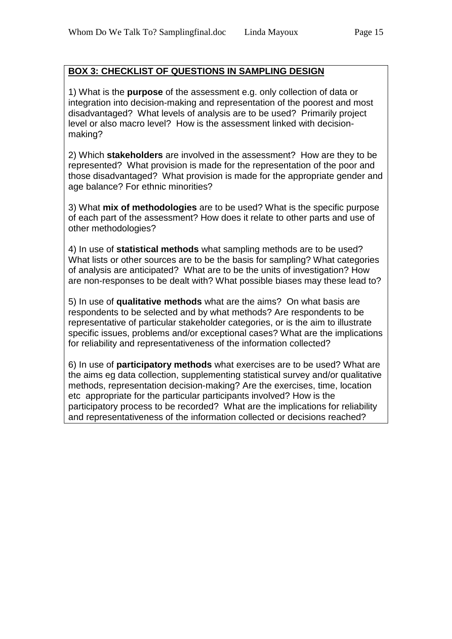# **BOX 3: CHECKLIST OF QUESTIONS IN SAMPLING DESIGN**

1) What is the **purpose** of the assessment e.g. only collection of data or integration into decision-making and representation of the poorest and most disadvantaged? What levels of analysis are to be used? Primarily project level or also macro level? How is the assessment linked with decisionmaking?

2) Which **stakeholders** are involved in the assessment? How are they to be represented? What provision is made for the representation of the poor and those disadvantaged? What provision is made for the appropriate gender and age balance? For ethnic minorities?

3) What **mix of methodologies** are to be used? What is the specific purpose of each part of the assessment? How does it relate to other parts and use of other methodologies?

4) In use of **statistical methods** what sampling methods are to be used? What lists or other sources are to be the basis for sampling? What categories of analysis are anticipated? What are to be the units of investigation? How are non-responses to be dealt with? What possible biases may these lead to?

5) In use of **qualitative methods** what are the aims? On what basis are respondents to be selected and by what methods? Are respondents to be representative of particular stakeholder categories, or is the aim to illustrate specific issues, problems and/or exceptional cases? What are the implications for reliability and representativeness of the information collected?

6) In use of **participatory methods** what exercises are to be used? What are the aims eg data collection, supplementing statistical survey and/or qualitative methods, representation decision-making? Are the exercises, time, location etc appropriate for the particular participants involved? How is the participatory process to be recorded? What are the implications for reliability and representativeness of the information collected or decisions reached?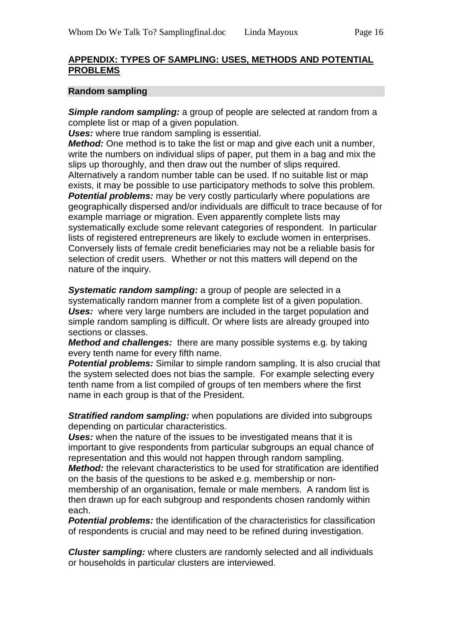#### **APPENDIX: TYPES OF SAMPLING: USES, METHODS AND POTENTIAL PROBLEMS**

#### **Random sampling**

*Simple random sampling:* a group of people are selected at random from a complete list or map of a given population.

*Uses:* where true random sampling is essential.

*Method:* One method is to take the list or map and give each unit a number, write the numbers on individual slips of paper, put them in a bag and mix the slips up thoroughly, and then draw out the number of slips required. Alternatively a random number table can be used. If no suitable list or map exists, it may be possible to use participatory methods to solve this problem. **Potential problems:** may be very costly particularly where populations are geographically dispersed and/or individuals are difficult to trace because of for example marriage or migration. Even apparently complete lists may systematically exclude some relevant categories of respondent. In particular lists of registered entrepreneurs are likely to exclude women in enterprises. Conversely lists of female credit beneficiaries may not be a reliable basis for selection of credit users. Whether or not this matters will depend on the nature of the inquiry.

*Systematic random sampling:* a group of people are selected in a systematically random manner from a complete list of a given population. **Uses:** where very large numbers are included in the target population and simple random sampling is difficult. Or where lists are already grouped into sections or classes.

*Method and challenges:* there are many possible systems e.g. by taking every tenth name for every fifth name.

*Potential problems:* Similar to simple random sampling. It is also crucial that the system selected does not bias the sample. For example selecting every tenth name from a list compiled of groups of ten members where the first name in each group is that of the President.

*Stratified random sampling:* when populations are divided into subgroups depending on particular characteristics.

**Uses:** when the nature of the issues to be investigated means that it is important to give respondents from particular subgroups an equal chance of representation and this would not happen through random sampling.

*Method:* the relevant characteristics to be used for stratification are identified on the basis of the questions to be asked e.g. membership or nonmembership of an organisation, female or male members. A random list is

then drawn up for each subgroup and respondents chosen randomly within each.

**Potential problems:** the identification of the characteristics for classification of respondents is crucial and may need to be refined during investigation.

*Cluster sampling:* where clusters are randomly selected and all individuals or households in particular clusters are interviewed.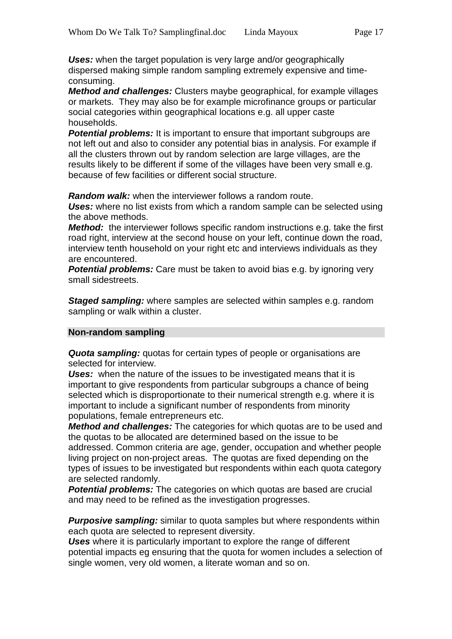*Uses:* when the target population is very large and/or geographically dispersed making simple random sampling extremely expensive and timeconsuming.

*Method and challenges:* Clusters maybe geographical, for example villages or markets. They may also be for example microfinance groups or particular social categories within geographical locations e.g. all upper caste households.

**Potential problems:** It is important to ensure that important subgroups are not left out and also to consider any potential bias in analysis. For example if all the clusters thrown out by random selection are large villages, are the results likely to be different if some of the villages have been very small e.g. because of few facilities or different social structure.

*Random walk:* when the interviewer follows a random route.

*Uses:* where no list exists from which a random sample can be selected using the above methods.

*Method:* the interviewer follows specific random instructions e.g. take the first road right, interview at the second house on your left, continue down the road, interview tenth household on your right etc and interviews individuals as they are encountered.

**Potential problems:** Care must be taken to avoid bias e.g. by ignoring very small sidestreets.

*Staged sampling:* where samples are selected within samples e.g. random sampling or walk within a cluster.

#### **Non-random sampling**

*Quota sampling:* quotas for certain types of people or organisations are selected for interview.

**Uses:** when the nature of the issues to be investigated means that it is important to give respondents from particular subgroups a chance of being selected which is disproportionate to their numerical strength e.g. where it is important to include a significant number of respondents from minority populations, female entrepreneurs etc.

*Method and challenges:* The categories for which quotas are to be used and the quotas to be allocated are determined based on the issue to be addressed. Common criteria are age, gender, occupation and whether people living project on non-project areas. The quotas are fixed depending on the types of issues to be investigated but respondents within each quota category are selected randomly.

**Potential problems:** The categories on which quotas are based are crucial and may need to be refined as the investigation progresses.

*Purposive sampling:* similar to quota samples but where respondents within each quota are selected to represent diversity.

*Uses* where it is particularly important to explore the range of different potential impacts eg ensuring that the quota for women includes a selection of single women, very old women, a literate woman and so on.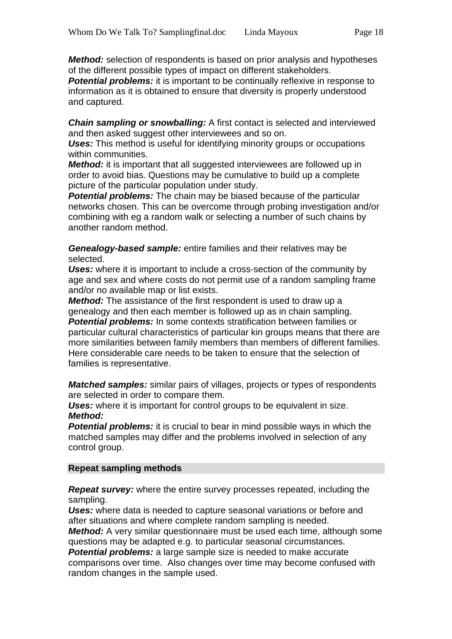*Method:* selection of respondents is based on prior analysis and hypotheses of the different possible types of impact on different stakeholders.

**Potential problems:** it is important to be continually reflexive in response to information as it is obtained to ensure that diversity is properly understood and captured.

*Chain sampling or snowballing:* A first contact is selected and interviewed and then asked suggest other interviewees and so on.

**Uses:** This method is useful for identifying minority groups or occupations within communities.

*Method:* it is important that all suggested interviewees are followed up in order to avoid bias. Questions may be cumulative to build up a complete picture of the particular population under study.

*Potential problems:* The chain may be biased because of the particular networks chosen. This can be overcome through probing investigation and/or combining with eg a random walk or selecting a number of such chains by another random method.

*Genealogy-based sample:* entire families and their relatives may be selected.

*Uses:* where it is important to include a cross-section of the community by age and sex and where costs do not permit use of a random sampling frame and/or no available map or list exists.

*Method:* The assistance of the first respondent is used to draw up a genealogy and then each member is followed up as in chain sampling. **Potential problems:** In some contexts stratification between families or particular cultural characteristics of particular kin groups means that there are more similarities between family members than members of different families. Here considerable care needs to be taken to ensure that the selection of families is representative.

*Matched samples:* similar pairs of villages, projects or types of respondents are selected in order to compare them.

**Uses:** where it is important for control groups to be equivalent in size. *Method:*

*Potential problems:* it is crucial to bear in mind possible ways in which the matched samples may differ and the problems involved in selection of any control group.

#### **Repeat sampling methods**

*Repeat survey:* where the entire survey processes repeated, including the sampling.

*Uses:* where data is needed to capture seasonal variations or before and after situations and where complete random sampling is needed.

*Method:* A very similar questionnaire must be used each time, although some questions may be adapted e.g. to particular seasonal circumstances.

**Potential problems:** a large sample size is needed to make accurate comparisons over time. Also changes over time may become confused with random changes in the sample used.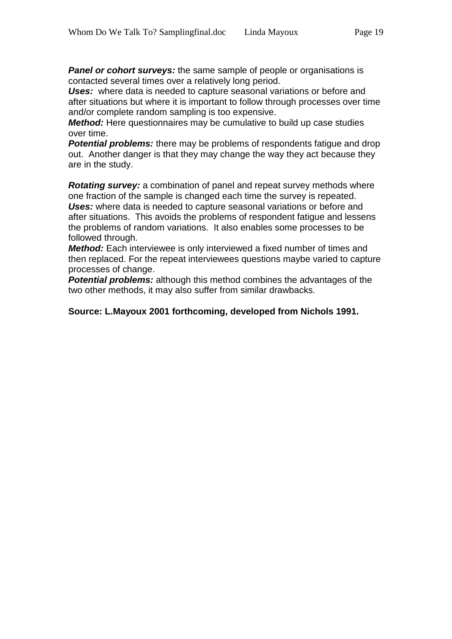**Panel or cohort surveys:** the same sample of people or organisations is contacted several times over a relatively long period.

*Uses:* where data is needed to capture seasonal variations or before and after situations but where it is important to follow through processes over time and/or complete random sampling is too expensive.

*Method:* Here questionnaires may be cumulative to build up case studies over time.

*Potential problems:* there may be problems of respondents fatigue and drop out. Another danger is that they may change the way they act because they are in the study.

*Rotating survey:* a combination of panel and repeat survey methods where one fraction of the sample is changed each time the survey is repeated. *Uses:* where data is needed to capture seasonal variations or before and after situations. This avoids the problems of respondent fatigue and lessens the problems of random variations. It also enables some processes to be followed through.

*Method:* Each interviewee is only interviewed a fixed number of times and then replaced. For the repeat interviewees questions maybe varied to capture processes of change.

**Potential problems:** although this method combines the advantages of the two other methods, it may also suffer from similar drawbacks.

#### **Source: L.Mayoux 2001 forthcoming, developed from Nichols 1991.**